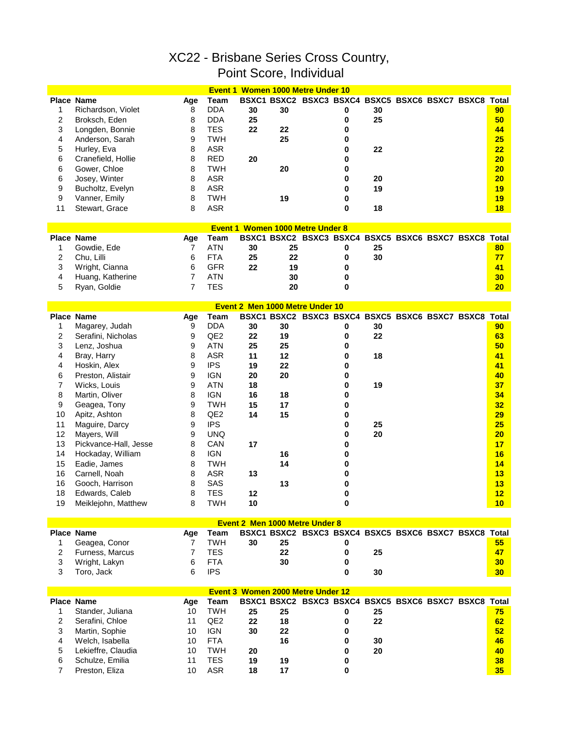## XC22 - Brisbane Series Cross Country, Point Score, Individual

|    |                       |     |                 | Event 1 Women 1000 Metre Under 10     |                                                       |   |    |  |                 |
|----|-----------------------|-----|-----------------|---------------------------------------|-------------------------------------------------------|---|----|--|-----------------|
|    | <b>Place Name</b>     | Age | Team            |                                       | BSXC1 BSXC2 BSXC3 BSXC4 BSXC5 BSXC6 BSXC7 BSXC8 Total |   |    |  |                 |
| 1  | Richardson, Violet    | 8   | <b>DDA</b>      | 30                                    | 30                                                    | 0 | 30 |  | 90              |
| 2  | Broksch, Eden         | 8   | <b>DDA</b>      | 25                                    |                                                       | 0 | 25 |  | 50              |
| 3  | Longden, Bonnie       | 8   | <b>TES</b>      | 22                                    | 22                                                    | 0 |    |  | 44              |
| 4  | Anderson, Sarah       | 9   | <b>TWH</b>      |                                       | 25                                                    | 0 |    |  | 25              |
| 5  | Hurley, Eva           | 8   | <b>ASR</b>      |                                       |                                                       | 0 | 22 |  | 22              |
| 6  | Cranefield, Hollie    | 8   | <b>RED</b>      | 20                                    |                                                       | 0 |    |  | 20              |
| 6  | Gower, Chloe          | 8   | <b>TWH</b>      |                                       | 20                                                    | 0 |    |  | 20              |
| 6  | Josey, Winter         | 8   | <b>ASR</b>      |                                       |                                                       | 0 | 20 |  | 20              |
|    |                       | 8   | <b>ASR</b>      |                                       |                                                       |   | 19 |  | 19              |
| 9  | Bucholtz, Evelyn      |     |                 |                                       |                                                       | 0 |    |  |                 |
| 9  | Vanner, Emily         | 8   | <b>TWH</b>      |                                       | 19                                                    | 0 |    |  | 19              |
| 11 | Stewart, Grace        | 8   | <b>ASR</b>      |                                       |                                                       | 0 | 18 |  | 18              |
|    |                       |     |                 | Event 1 Women 1000 Metre Under 8      |                                                       |   |    |  |                 |
|    | <b>Place Name</b>     |     | Team            |                                       | BSXC1 BSXC2 BSXC3 BSXC4 BSXC5 BSXC6 BSXC7 BSXC8 Total |   |    |  |                 |
|    |                       | Age | <b>ATN</b>      |                                       |                                                       |   |    |  |                 |
| 1  | Gowdie, Ede           | 7   |                 | 30                                    | 25                                                    | 0 | 25 |  | 80              |
| 2  | Chu, Lilli            | 6   | <b>FTA</b>      | 25                                    | 22                                                    | 0 | 30 |  | 77              |
| 3  | Wright, Cianna        | 6   | <b>GFR</b>      | 22                                    | 19                                                    | 0 |    |  | 41              |
| 4  | Huang, Katherine      | 7   | <b>ATN</b>      |                                       | 30                                                    | 0 |    |  | 30              |
| 5  | Ryan, Goldie          | 7   | <b>TES</b>      |                                       | 20                                                    | 0 |    |  | 20 <sub>2</sub> |
|    |                       |     |                 |                                       |                                                       |   |    |  |                 |
|    |                       |     |                 | Event 2 Men 1000 Metre Under 10       |                                                       |   |    |  |                 |
|    | <b>Place Name</b>     | Age | <b>Team</b>     |                                       | BSXC1 BSXC2 BSXC3 BSXC4 BSXC5 BSXC6 BSXC7 BSXC8 Total |   |    |  |                 |
| 1  | Magarey, Judah        | 9   | <b>DDA</b>      | 30                                    | 30                                                    | 0 | 30 |  | 90              |
| 2  | Serafini, Nicholas    | 9   | QE <sub>2</sub> | 22                                    | 19                                                    | 0 | 22 |  | 63              |
| 3  | Lenz, Joshua          | 9   | <b>ATN</b>      | 25                                    | 25                                                    | 0 |    |  | 50              |
| 4  | Bray, Harry           | 8   | <b>ASR</b>      | 11                                    | 12                                                    | 0 | 18 |  | 41              |
| 4  | Hoskin, Alex          | 9   | <b>IPS</b>      | 19                                    | 22                                                    | 0 |    |  | 41              |
| 6  | Preston, Alistair     | 9   | <b>IGN</b>      | 20                                    | 20                                                    | 0 |    |  | 40              |
| 7  | Wicks, Louis          | 9   | <b>ATN</b>      | 18                                    |                                                       | 0 | 19 |  | 37              |
| 8  | Martin, Oliver        | 8   | <b>IGN</b>      | 16                                    | 18                                                    | 0 |    |  | 34              |
| 9  | Geagea, Tony          | 9   | TWH             | 15                                    | 17                                                    | 0 |    |  | 32              |
| 10 | Apitz, Ashton         | 8   | QE <sub>2</sub> | 14                                    | 15                                                    | 0 |    |  | 29              |
| 11 | Maguire, Darcy        | 9   | <b>IPS</b>      |                                       |                                                       | 0 | 25 |  | 25              |
| 12 | Mayers, Will          | 9   | <b>UNQ</b>      |                                       |                                                       | 0 | 20 |  | 20              |
| 13 | Pickvance-Hall, Jesse | 8   | CAN             | 17                                    |                                                       | 0 |    |  | 17              |
| 14 |                       | 8   | <b>IGN</b>      |                                       |                                                       | 0 |    |  | 16              |
|    | Hockaday, William     |     |                 |                                       | 16                                                    |   |    |  |                 |
| 15 | Eadie, James          | 8   | <b>TWH</b>      |                                       | 14                                                    | 0 |    |  | 14              |
| 16 | Carnell, Noah         | 8   | <b>ASR</b>      | 13                                    |                                                       | 0 |    |  | 13              |
| 16 | Gooch, Harrison       | 8   | SAS             |                                       | 13                                                    | 0 |    |  | 13              |
| 18 | Edwards, Caleb        | 8   | <b>TES</b>      | 12                                    |                                                       | 0 |    |  | 12              |
| 19 | Meiklejohn, Matthew   | 8   | TWH             | 10                                    |                                                       | 0 |    |  | 10              |
|    |                       |     |                 |                                       |                                                       |   |    |  |                 |
|    |                       |     |                 | <b>Event 2 Men 1000 Metre Under 8</b> |                                                       |   |    |  |                 |
|    | <b>Place Name</b>     | Age | Team            |                                       | BSXC1 BSXC2 BSXC3 BSXC4 BSXC5 BSXC6 BSXC7 BSXC8 Total |   |    |  |                 |
| 1  | Geagea, Conor         | 7   | <b>TWH</b>      | 30                                    | 25                                                    | 0 |    |  | 55              |
| 2  | Furness, Marcus       | 7   | <b>TES</b>      |                                       | 22                                                    | 0 | 25 |  | 47              |
| 3  | Wright, Lakyn         | 6   | <b>FTA</b>      |                                       | 30                                                    | 0 |    |  | 30              |
| 3  | Toro, Jack            | 6   | <b>IPS</b>      |                                       |                                                       | 0 | 30 |  | 30              |
|    |                       |     |                 |                                       |                                                       |   |    |  |                 |
|    | <b>Place Name</b>     |     |                 | Event 3 Women 2000 Metre Under 12     | BSXC1 BSXC2 BSXC3 BSXC4 BSXC5 BSXC6 BSXC7 BSXC8 Total |   |    |  |                 |
|    |                       | Age | Team            |                                       |                                                       |   |    |  |                 |
| 1  | Stander, Juliana      | 10  | <b>TWH</b>      | 25                                    | 25                                                    | 0 | 25 |  | 75              |
| 2  | Serafini, Chloe       | 11  | QE <sub>2</sub> | 22                                    | 18                                                    | 0 | 22 |  | 62              |
| 3  | Martin, Sophie        | 10  | <b>IGN</b>      | 30                                    | 22                                                    | 0 |    |  | 52              |
| 4  | Welch, Isabella       | 10  | <b>FTA</b>      |                                       | 16                                                    | 0 | 30 |  | 46              |
| 5  | Lekieffre, Claudia    | 10  | <b>TWH</b>      | 20                                    |                                                       | 0 | 20 |  | 40              |
| 6  | Schulze, Emilia       | 11  | <b>TES</b>      | 19                                    | 19                                                    | 0 |    |  | 38              |
| 7  | Preston, Eliza        | 10  | ASR             | 18                                    | 17                                                    | 0 |    |  | 35              |
|    |                       |     |                 |                                       |                                                       |   |    |  |                 |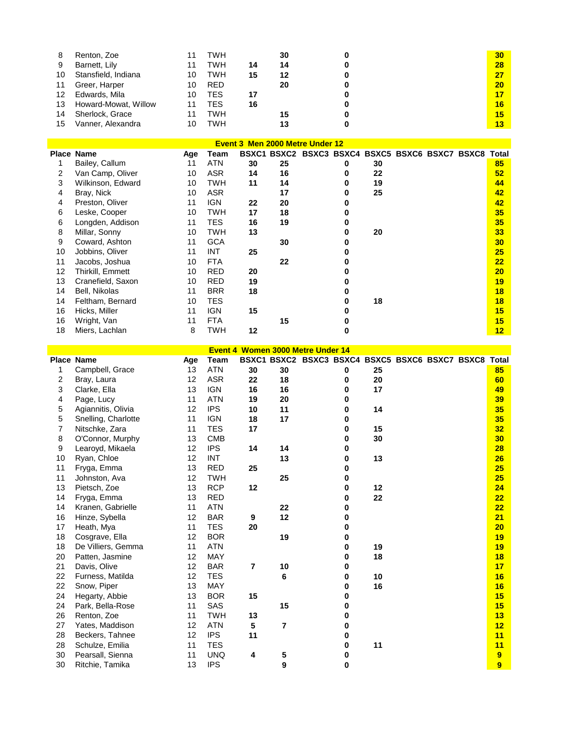| 8  | Renton, Zoe          |    | TWH        |    | 30 |   | 30 |
|----|----------------------|----|------------|----|----|---|----|
| 9  | Barnett, Lily        | 11 | TWH        | 14 | 14 | o | 28 |
| 10 | Stansfield, Indiana  | 10 | <b>TWH</b> | 15 | 12 | 0 | 27 |
| 11 | Greer, Harper        | 10 | <b>RED</b> |    | 20 | O | 20 |
| 12 | Edwards, Mila        | 10 | TES        | 17 |    |   | 17 |
| 13 | Howard-Mowat, Willow |    | TES        | 16 |    |   | 16 |
| 14 | Sherlock, Grace      |    | TWH        |    | 15 | 0 | 15 |
| 15 | Vanner, Alexandra    | 10 | <b>TWH</b> |    | 13 |   | 13 |

## **Event 3 Men 2000 Metre Under 12**

|    | Place Name        | Age | Team       | <b>BSXC1</b> | <b>BSXC2</b> | BSXC3 BSXC4 BSXC5 BSXC6 BSXC7 BSXC8 |   |    |  | Total           |
|----|-------------------|-----|------------|--------------|--------------|-------------------------------------|---|----|--|-----------------|
|    | Bailey, Callum    | 11  | ATN        | 30           | 25           |                                     | 0 | 30 |  | 85              |
| 2  | Van Camp, Oliver  | 10  | ASR        | 14           | 16           |                                     |   | 22 |  | 52              |
| 3  | Wilkinson, Edward | 10  | TWH        | 11           | 14           |                                     |   | 19 |  | 44              |
| 4  | Bray, Nick        | 10  | <b>ASR</b> |              | 17           |                                     |   | 25 |  | 42              |
| 4  | Preston, Oliver   | 11  | IGN        | 22           | 20           |                                     |   |    |  | 42              |
| 6  | Leske, Cooper     | 10  | TWH        | 17           | 18           |                                     |   |    |  | 35              |
| 6  | Longden, Addison  | 11  | TES        | 16           | 19           |                                     |   |    |  | 35              |
| 8  | Millar, Sonny     | 10  | TWH        | 13           |              |                                     |   | 20 |  | 33              |
| 9  | Coward, Ashton    | 11  | <b>GCA</b> |              | 30           |                                     |   |    |  | 30 <sub>2</sub> |
| 10 | Jobbins, Oliver   | 11  | <b>INT</b> | 25           |              |                                     |   |    |  | 25              |
| 11 | Jacobs, Joshua    | 10  | <b>FTA</b> |              | 22           |                                     |   |    |  | 22              |
| 12 | Thirkill, Emmett  | 10  | <b>RED</b> | 20           |              |                                     |   |    |  | 20              |
| 13 | Cranefield, Saxon | 10  | <b>RED</b> | 19           |              |                                     |   |    |  | 19              |
| 14 | Bell, Nikolas     | 11  | <b>BRR</b> | 18           |              |                                     |   |    |  | 18              |
| 14 | Feltham, Bernard  | 10  | TES        |              |              |                                     |   | 18 |  | 18              |
| 16 | Hicks, Miller     | 11  | <b>IGN</b> | 15           |              |                                     |   |    |  | 15              |
| 16 | Wright, Van       | 11  | <b>FTA</b> |              | 15           |                                     |   |    |  | 15              |
| 18 | Miers, Lachlan    | 8   | <b>TWH</b> | 12           |              |                                     |   |    |  | 12              |

|    | Event 4 Women 3000 Metre Under 14<br><b>Place Name</b><br>BSXC1 BSXC2 BSXC3 BSXC4 BSXC5 BSXC6 BSXC7 BSXC8 Total<br><b>Team</b><br>Age |    |            |                |    |  |   |    |  |  |  |    |
|----|---------------------------------------------------------------------------------------------------------------------------------------|----|------------|----------------|----|--|---|----|--|--|--|----|
|    |                                                                                                                                       |    |            |                |    |  |   |    |  |  |  |    |
| 1  | Campbell, Grace                                                                                                                       | 13 | <b>ATN</b> | 30             | 30 |  | 0 | 25 |  |  |  | 85 |
| 2  | Bray, Laura                                                                                                                           | 12 | <b>ASR</b> | 22             | 18 |  | 0 | 20 |  |  |  | 60 |
| 3  | Clarke, Ella                                                                                                                          | 13 | <b>IGN</b> | 16             | 16 |  | 0 | 17 |  |  |  | 49 |
| 4  | Page, Lucy                                                                                                                            | 11 | <b>ATN</b> | 19             | 20 |  | 0 |    |  |  |  | 39 |
| 5  | Agiannitis, Olivia                                                                                                                    | 12 | <b>IPS</b> | 10             | 11 |  | 0 | 14 |  |  |  | 35 |
| 5  | Snelling, Charlotte                                                                                                                   | 11 | <b>IGN</b> | 18             | 17 |  | 0 |    |  |  |  | 35 |
| 7  | Nitschke, Zara                                                                                                                        | 11 | <b>TES</b> | 17             |    |  | 0 | 15 |  |  |  | 32 |
| 8  | O'Connor, Murphy                                                                                                                      | 13 | <b>CMB</b> |                |    |  | 0 | 30 |  |  |  | 30 |
| 9  | Learoyd, Mikaela                                                                                                                      | 12 | <b>IPS</b> | 14             | 14 |  | 0 |    |  |  |  | 28 |
| 10 | Ryan, Chloe                                                                                                                           | 12 | <b>INT</b> |                | 13 |  | 0 | 13 |  |  |  | 26 |
| 11 | Fryga, Emma                                                                                                                           | 13 | <b>RED</b> | 25             |    |  | 0 |    |  |  |  | 25 |
| 11 | Johnston, Ava                                                                                                                         | 12 | <b>TWH</b> |                | 25 |  | 0 |    |  |  |  | 25 |
| 13 | Pietsch, Zoe                                                                                                                          | 13 | <b>RCP</b> | 12             |    |  | 0 | 12 |  |  |  | 24 |
| 14 | Fryga, Emma                                                                                                                           | 13 | <b>RED</b> |                |    |  | 0 | 22 |  |  |  | 22 |
| 14 | Kranen, Gabrielle                                                                                                                     | 11 | <b>ATN</b> |                | 22 |  | 0 |    |  |  |  | 22 |
| 16 | Hinze, Sybella                                                                                                                        | 12 | <b>BAR</b> | 9              | 12 |  | 0 |    |  |  |  | 21 |
| 17 | Heath, Mya                                                                                                                            | 11 | <b>TES</b> | 20             |    |  | 0 |    |  |  |  | 20 |
| 18 | Cosgrave, Ella                                                                                                                        | 12 | <b>BOR</b> |                | 19 |  | 0 |    |  |  |  | 19 |
| 18 | De Villiers, Gemma                                                                                                                    | 11 | <b>ATN</b> |                |    |  | 0 | 19 |  |  |  | 19 |
| 20 | Patten, Jasmine                                                                                                                       | 12 | <b>MAY</b> |                |    |  | 0 | 18 |  |  |  | 18 |
| 21 | Davis, Olive                                                                                                                          | 12 | <b>BAR</b> | $\overline{7}$ | 10 |  | 0 |    |  |  |  | 17 |
| 22 | Furness, Matilda                                                                                                                      | 12 | <b>TES</b> |                | 6  |  | 0 | 10 |  |  |  | 16 |
| 22 | Snow, Piper                                                                                                                           | 13 | <b>MAY</b> |                |    |  | 0 | 16 |  |  |  | 16 |
| 24 | Hegarty, Abbie                                                                                                                        | 13 | <b>BOR</b> | 15             |    |  | 0 |    |  |  |  | 15 |
| 24 | Park, Bella-Rose                                                                                                                      | 11 | <b>SAS</b> |                | 15 |  | 0 |    |  |  |  | 15 |
| 26 | Renton, Zoe                                                                                                                           | 11 | <b>TWH</b> | 13             |    |  | 0 |    |  |  |  | 13 |
| 27 | Yates, Maddison                                                                                                                       | 12 | <b>ATN</b> | 5              | 7  |  | 0 |    |  |  |  | 12 |
| 28 | Beckers, Tahnee                                                                                                                       | 12 | <b>IPS</b> | 11             |    |  | 0 |    |  |  |  | 11 |
| 28 | Schulze, Emilia                                                                                                                       | 11 | <b>TES</b> |                |    |  | 0 | 11 |  |  |  | 11 |
| 30 | Pearsall, Sienna                                                                                                                      | 11 | <b>UNQ</b> | 4              | 5  |  | 0 |    |  |  |  | 9  |
| 30 | Ritchie, Tamika                                                                                                                       | 13 | <b>IPS</b> |                | 9  |  | 0 |    |  |  |  | 9  |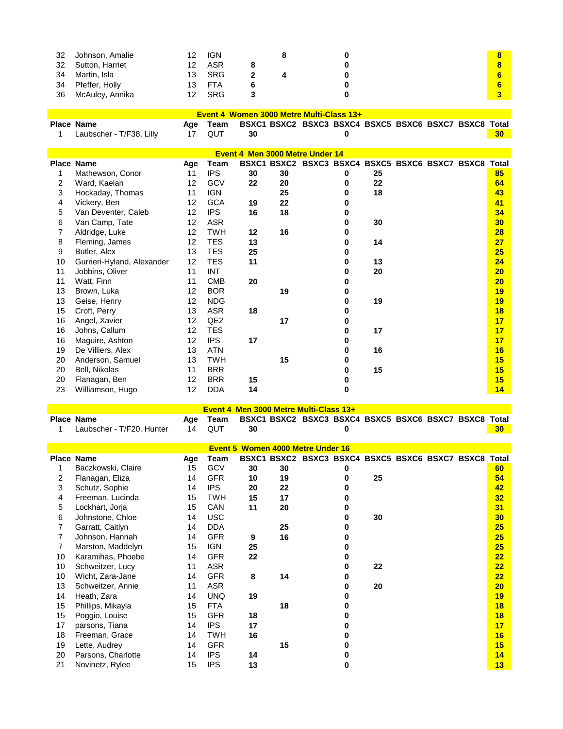| 32<br>32<br>34<br>34<br>36 | Johnson, Amalie<br>Sutton, Harriet<br>Martin, Isla<br>Pfeffer, Holly<br>McAuley, Annika | 12<br>12<br>13<br>13<br>12 | <b>IGN</b><br><b>ASR</b><br><b>SRG</b><br><b>FTA</b><br><b>SRG</b> | 8<br>$\mathbf 2$<br>6<br>3<br>Event 4 Women 3000 Metre Multi-Class 13+ | 8<br>4 |                                                       | 0<br>0<br>0<br>$\bf{0}$<br>$\bf{0}$ |    |  | 8<br>8<br>6<br>6<br>3 |
|----------------------------|-----------------------------------------------------------------------------------------|----------------------------|--------------------------------------------------------------------|------------------------------------------------------------------------|--------|-------------------------------------------------------|-------------------------------------|----|--|-----------------------|
| 1                          | <b>Place Name</b>                                                                       | Age<br>17                  | <b>Team</b><br>QUT                                                 | 30                                                                     |        | BSXC1 BSXC2 BSXC3 BSXC4 BSXC5 BSXC6 BSXC7 BSXC8 Total | $\bf{0}$                            |    |  | 30 <sub>2</sub>       |
|                            | Laubscher - T/F38, Lilly                                                                |                            |                                                                    |                                                                        |        |                                                       |                                     |    |  |                       |
|                            |                                                                                         |                            |                                                                    | Event 4 Men 3000 Metre Under 14                                        |        |                                                       |                                     |    |  |                       |
|                            | <b>Place Name</b>                                                                       | Age                        | Team                                                               |                                                                        |        | BSXC1 BSXC2 BSXC3 BSXC4 BSXC5 BSXC6 BSXC7 BSXC8 Total |                                     |    |  |                       |
| 1                          | Mathewson, Conor                                                                        | 11                         | <b>IPS</b>                                                         | 30                                                                     | 30     |                                                       | 0                                   | 25 |  | 85                    |
| 2                          | Ward, Kaelan                                                                            | 12                         | GCV                                                                | 22                                                                     | 20     |                                                       | 0                                   | 22 |  | 64                    |
| 3                          | Hockaday, Thomas                                                                        | 11                         | <b>IGN</b>                                                         |                                                                        | 25     |                                                       | 0                                   | 18 |  | 43                    |
| 4                          | Vickery, Ben                                                                            | 12                         | <b>GCA</b>                                                         | 19                                                                     | 22     |                                                       | 0                                   |    |  | 41                    |
| 5                          | Van Deventer, Caleb                                                                     | 12                         | <b>IPS</b>                                                         | 16                                                                     | 18     |                                                       | 0                                   |    |  | 34                    |
| 6                          | Van Camp, Tate                                                                          | 12                         | <b>ASR</b>                                                         |                                                                        |        |                                                       | 0                                   | 30 |  | 30                    |
| 7                          | Aldridge, Luke                                                                          | 12                         | <b>TWH</b>                                                         | 12                                                                     | 16     |                                                       | 0                                   |    |  | 28                    |
| 8                          | Fleming, James                                                                          | 12                         | <b>TES</b>                                                         | 13                                                                     |        |                                                       | 0                                   | 14 |  | 27                    |
| 9                          | Butler, Alex                                                                            | 13                         | <b>TES</b>                                                         | 25                                                                     |        |                                                       | 0                                   |    |  | 25                    |
| 10                         | Gurrieri-Hyland, Alexander                                                              | 12                         | <b>TES</b>                                                         | 11                                                                     |        |                                                       | 0                                   | 13 |  | 24                    |
| 11                         | Jobbins, Oliver                                                                         | 11                         | <b>INT</b>                                                         |                                                                        |        |                                                       | 0                                   | 20 |  | 20                    |
| 11                         | Watt, Finn                                                                              | 11                         | <b>CMB</b>                                                         | 20                                                                     |        |                                                       | 0                                   |    |  | 20                    |
| 13                         | Brown, Luka                                                                             | 12                         | <b>BOR</b>                                                         |                                                                        | 19     |                                                       | 0                                   |    |  | 19                    |
| 13                         | Geise, Henry                                                                            | 12                         | <b>NDG</b>                                                         |                                                                        |        |                                                       | 0                                   | 19 |  | 19                    |
| 15                         | Croft, Perry                                                                            | 13                         | <b>ASR</b>                                                         | 18                                                                     |        |                                                       | 0                                   |    |  | 18                    |
| 16                         | Angel, Xavier                                                                           | 12                         | QE <sub>2</sub>                                                    |                                                                        | 17     |                                                       | 0                                   |    |  | 17                    |
| 16                         | Johns, Callum                                                                           | 12                         | <b>TES</b>                                                         |                                                                        |        |                                                       | 0                                   | 17 |  | 17                    |
| 16                         | Maguire, Ashton                                                                         | 12                         | <b>IPS</b>                                                         | 17                                                                     |        |                                                       | 0                                   |    |  | 17                    |
| 19                         | De Villiers, Alex                                                                       | 13                         | <b>ATN</b>                                                         |                                                                        |        |                                                       | 0                                   | 16 |  | 16                    |
| 20                         | Anderson, Samuel                                                                        | 13                         | <b>TWH</b>                                                         |                                                                        | 15     |                                                       | 0                                   |    |  | 15                    |
| 20                         | Bell, Nikolas                                                                           | 11                         | <b>BRR</b>                                                         |                                                                        |        |                                                       | 0                                   | 15 |  | 15                    |
| 20                         | Flanagan, Ben                                                                           | 12                         | <b>BRR</b>                                                         | 15                                                                     |        |                                                       | 0                                   |    |  | 15                    |
| 23                         | Williamson, Hugo                                                                        | 12                         | <b>DDA</b>                                                         | 14                                                                     |        |                                                       | 0                                   |    |  | 14                    |
|                            |                                                                                         |                            |                                                                    |                                                                        |        |                                                       |                                     |    |  |                       |

|    | Event 4 Men 3000 Metre Multi-Class 13+ |     |            |    |    |                                                       |   |    |  |  |  |                 |
|----|----------------------------------------|-----|------------|----|----|-------------------------------------------------------|---|----|--|--|--|-----------------|
|    | <b>Place Name</b>                      | Age | Team       |    |    | BSXC1 BSXC2 BSXC3 BSXC4 BSXC5 BSXC6 BSXC7 BSXC8 Total |   |    |  |  |  |                 |
|    | Laubscher - T/F20, Hunter              | 14  | QUT        | 30 |    |                                                       | 0 |    |  |  |  | 30 <sub>2</sub> |
|    |                                        |     |            |    |    |                                                       |   |    |  |  |  |                 |
|    |                                        |     |            |    |    | Event 5 Women 4000 Metre Under 16                     |   |    |  |  |  |                 |
|    | <b>Place Name</b>                      | Age | Team       |    |    | BSXC1 BSXC2 BSXC3 BSXC4 BSXC5 BSXC6 BSXC7 BSXC8       |   |    |  |  |  | Total           |
|    | Baczkowski, Claire                     | 15  | <b>GCV</b> | 30 | 30 |                                                       | 0 |    |  |  |  | 60              |
| 2  | Flanagan, Eliza                        | 14  | <b>GFR</b> | 10 | 19 |                                                       | n | 25 |  |  |  | 54              |
| 3  | Schutz, Sophie                         | 14  | <b>IPS</b> | 20 | 22 |                                                       |   |    |  |  |  | 42              |
| 4  | Freeman, Lucinda                       | 15  | <b>TWH</b> | 15 | 17 |                                                       |   |    |  |  |  | 32              |
| 5  | Lockhart, Jorja                        | 15  | CAN        | 11 | 20 |                                                       |   |    |  |  |  | 31              |
| 6  | Johnstone, Chloe                       | 14  | <b>USC</b> |    |    |                                                       |   | 30 |  |  |  | 30              |
| 7  | Garratt, Caitlyn                       | 14  | <b>DDA</b> |    | 25 |                                                       |   |    |  |  |  | 25              |
| 7  | Johnson, Hannah                        | 14  | <b>GFR</b> | 9  | 16 |                                                       |   |    |  |  |  | 25              |
| 7  | Marston, Maddelyn                      | 15  | <b>IGN</b> | 25 |    |                                                       |   |    |  |  |  | 25              |
| 10 | Karamihas, Phoebe                      | 14  | <b>GFR</b> | 22 |    |                                                       |   |    |  |  |  | 22              |
| 10 | Schweitzer, Lucy                       | 11  | <b>ASR</b> |    |    |                                                       | O | 22 |  |  |  | 22              |
| 10 | Wicht, Zara-Jane                       | 14  | <b>GFR</b> | 8  | 14 |                                                       |   |    |  |  |  | 22              |
| 13 | Schweitzer, Annie                      | 11  | <b>ASR</b> |    |    |                                                       |   | 20 |  |  |  | 20              |
| 14 | Heath, Zara                            | 14  | <b>UNQ</b> | 19 |    |                                                       |   |    |  |  |  | 19              |
| 15 | Phillips, Mikayla                      | 15  | <b>FTA</b> |    | 18 |                                                       |   |    |  |  |  | 18              |
| 15 | Poggio, Louise                         | 15  | <b>GFR</b> | 18 |    |                                                       |   |    |  |  |  | 18              |
| 17 | parsons, Tiana                         | 14  | <b>IPS</b> | 17 |    |                                                       |   |    |  |  |  | 17              |
| 18 | Freeman, Grace                         | 14  | <b>TWH</b> | 16 |    |                                                       |   |    |  |  |  | 16              |
| 19 | Lette, Audrey                          | 14  | <b>GFR</b> |    | 15 |                                                       |   |    |  |  |  | 15              |
| 20 | Parsons, Charlotte                     | 14  | <b>IPS</b> | 14 |    |                                                       |   |    |  |  |  | 14              |
| 21 | Novinetz, Rylee                        | 15  | <b>IPS</b> | 13 |    |                                                       |   |    |  |  |  | 13              |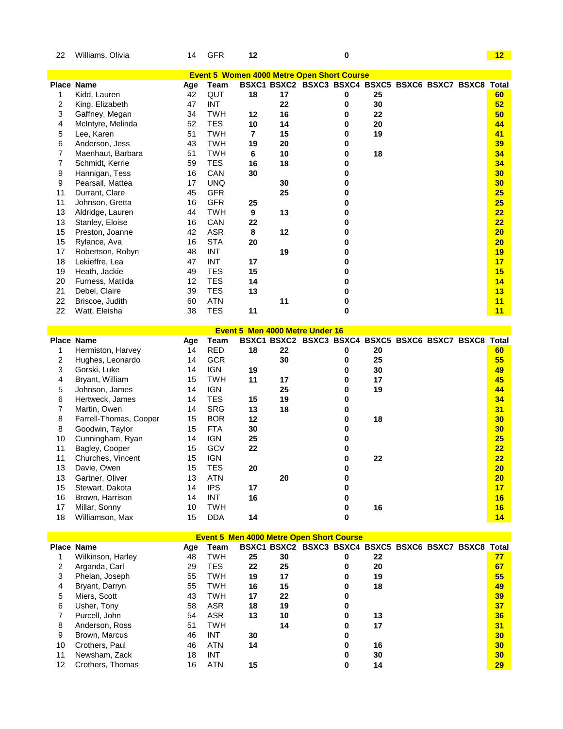| 22 | Williams, Olivia  | 14  | <b>GFR</b>  | 12                                                |    |                                                       | 0 |    |  | 12 |
|----|-------------------|-----|-------------|---------------------------------------------------|----|-------------------------------------------------------|---|----|--|----|
|    |                   |     |             |                                                   |    |                                                       |   |    |  |    |
|    | <b>Place Name</b> | Age | <b>Team</b> | <b>Event 5 Women 4000 Metre Open Short Course</b> |    | BSXC1 BSXC2 BSXC3 BSXC4 BSXC5 BSXC6 BSXC7 BSXC8 Total |   |    |  |    |
|    | Kidd, Lauren      | 42  | QUT         | 18                                                | 17 |                                                       | 0 | 25 |  | 60 |
| 2  | King, Elizabeth   | 47  | <b>INT</b>  |                                                   | 22 |                                                       | 0 | 30 |  | 52 |
| 3  | Gaffney, Megan    | 34  | <b>TWH</b>  | 12                                                | 16 |                                                       | 0 | 22 |  | 50 |
| 4  | McIntyre, Melinda | 52  | <b>TES</b>  | 10                                                | 14 |                                                       | 0 | 20 |  | 44 |
| 5  | Lee, Karen        | 51  | <b>TWH</b>  | 7                                                 | 15 |                                                       | 0 | 19 |  | 41 |
| 6  | Anderson, Jess    | 43  | <b>TWH</b>  | 19                                                | 20 |                                                       | 0 |    |  | 39 |
| 7  | Maenhaut, Barbara | 51  | <b>TWH</b>  | 6                                                 | 10 |                                                       | 0 | 18 |  | 34 |
| 7  | Schmidt, Kerrie   | 59  | <b>TES</b>  | 16                                                | 18 |                                                       | 0 |    |  | 34 |
| 9  | Hannigan, Tess    | 16  | CAN         | 30                                                |    |                                                       | 0 |    |  | 30 |
| 9  | Pearsall, Mattea  | 17  | <b>UNQ</b>  |                                                   | 30 |                                                       | o |    |  | 30 |
| 11 | Durrant, Clare    | 45  | <b>GFR</b>  |                                                   | 25 |                                                       | 0 |    |  | 25 |
| 11 | Johnson, Gretta   | 16  | <b>GFR</b>  | 25                                                |    |                                                       | 0 |    |  | 25 |
| 13 | Aldridge, Lauren  | 44  | <b>TWH</b>  | 9                                                 | 13 |                                                       | 0 |    |  | 22 |
| 13 | Stanley, Eloise   | 16  | CAN         | 22                                                |    |                                                       | 0 |    |  | 22 |
| 15 | Preston, Joanne   | 42  | <b>ASR</b>  | 8                                                 | 12 |                                                       | 0 |    |  | 20 |
| 15 | Rylance, Ava      | 16  | <b>STA</b>  | 20                                                |    |                                                       | 0 |    |  | 20 |
| 17 | Robertson, Robyn  | 48  | <b>INT</b>  |                                                   | 19 |                                                       | 0 |    |  | 19 |
| 18 | Lekieffre, Lea    | 47  | INT         | 17                                                |    |                                                       | 0 |    |  | 17 |
| 19 | Heath, Jackie     | 49  | <b>TES</b>  | 15                                                |    |                                                       | 0 |    |  | 15 |
| 20 | Furness, Matilda  | 12  | <b>TES</b>  | 14                                                |    |                                                       | 0 |    |  | 14 |
| 21 | Debel, Claire     | 39  | <b>TES</b>  | 13                                                |    |                                                       | 0 |    |  | 13 |
| 22 | Briscoe, Judith   | 60  | <b>ATN</b>  |                                                   | 11 |                                                       | 0 |    |  | 11 |
| 22 | Watt, Eleisha     | 38  | <b>TES</b>  | 11                                                |    |                                                       | 0 |    |  | 11 |
|    |                   |     |             |                                                   |    |                                                       |   |    |  |    |

|    | Event 5 Men 4000 Metre Under 16 |     |            |    |    |                                                 |   |    |  |  |  |       |
|----|---------------------------------|-----|------------|----|----|-------------------------------------------------|---|----|--|--|--|-------|
|    | <b>Place Name</b>               | Age | Team       |    |    | BSXC1 BSXC2 BSXC3 BSXC4 BSXC5 BSXC6 BSXC7 BSXC8 |   |    |  |  |  | Total |
|    | Hermiston, Harvey               | 14  | <b>RED</b> | 18 | 22 |                                                 | 0 | 20 |  |  |  | 60    |
| 2  | Hughes, Leonardo                | 14  | <b>GCR</b> |    | 30 |                                                 | 0 | 25 |  |  |  | 55    |
| 3  | Gorski, Luke                    | 14  | <b>IGN</b> | 19 |    |                                                 | 0 | 30 |  |  |  | 49    |
| 4  | Bryant, William                 | 15  | TWH        | 11 | 17 |                                                 | 0 | 17 |  |  |  | 45    |
| 5  | Johnson, James                  | 14  | <b>IGN</b> |    | 25 |                                                 | o | 19 |  |  |  | 44    |
| 6  | Hertweck, James                 | 14  | <b>TES</b> | 15 | 19 |                                                 |   |    |  |  |  | 34    |
|    | Martin, Owen                    | 14  | <b>SRG</b> | 13 | 18 |                                                 |   |    |  |  |  | 31    |
| 8  | Farrell-Thomas, Cooper          | 15  | <b>BOR</b> | 12 |    |                                                 |   | 18 |  |  |  | 30    |
| 8  | Goodwin, Taylor                 | 15  | <b>FTA</b> | 30 |    |                                                 |   |    |  |  |  | 30    |
| 10 | Cunningham, Ryan                | 14  | <b>IGN</b> | 25 |    |                                                 |   |    |  |  |  | 25    |
| 11 | Bagley, Cooper                  | 15  | GCV        | 22 |    |                                                 |   |    |  |  |  | 22    |
| 11 | Churches, Vincent               | 15  | <b>IGN</b> |    |    |                                                 | n | 22 |  |  |  | 22    |
| 13 | Davie, Owen                     | 15  | TES        | 20 |    |                                                 |   |    |  |  |  | 20    |
| 13 | Gartner, Oliver                 | 13  | <b>ATN</b> |    | 20 |                                                 |   |    |  |  |  | 20    |
| 15 | Stewart, Dakota                 | 14  | <b>IPS</b> | 17 |    |                                                 |   |    |  |  |  | 17    |
| 16 | Brown, Harrison                 | 14  | INT        | 16 |    |                                                 |   |    |  |  |  | 16    |
| 17 | Millar, Sonny                   | 10  | TWH        |    |    |                                                 |   | 16 |  |  |  | 16    |
| 18 | Williamson, Max                 | 15  | <b>DDA</b> | 14 |    |                                                 | 0 |    |  |  |  | 14    |

|    | <b>Event 5 Men 4000 Metre Open Short Course</b> |     |            |    |    |                                                       |    |  |  |  |    |  |
|----|-------------------------------------------------|-----|------------|----|----|-------------------------------------------------------|----|--|--|--|----|--|
|    | Place Name                                      | Age | Team       |    |    | BSXC1 BSXC2 BSXC3 BSXC4 BSXC5 BSXC6 BSXC7 BSXC8 Total |    |  |  |  |    |  |
|    | Wilkinson, Harley                               | 48  | TWH        | 25 | 30 | 0                                                     | 22 |  |  |  |    |  |
|    | Arganda, Carl                                   | 29  | TES        | 22 | 25 | o                                                     | 20 |  |  |  | 67 |  |
| 3  | Phelan, Joseph                                  | 55  | TWH        | 19 | 17 |                                                       | 19 |  |  |  | 55 |  |
| 4  | Bryant, Darryn                                  | 55  | TWH        | 16 | 15 |                                                       | 18 |  |  |  | 49 |  |
| 5  | Miers, Scott                                    | 43  | TWH        | 17 | 22 |                                                       |    |  |  |  | 39 |  |
| 6  | Usher, Tony                                     | 58  | ASR        | 18 | 19 |                                                       |    |  |  |  | 37 |  |
|    | Purcell, John                                   | 54  | ASR        | 13 | 10 |                                                       | 13 |  |  |  | 36 |  |
| 8  | Anderson, Ross                                  | 51  | <b>TWH</b> |    | 14 |                                                       | 17 |  |  |  | 31 |  |
| 9  | Brown, Marcus                                   | 46  | INT        | 30 |    |                                                       |    |  |  |  | 30 |  |
| 10 | Crothers, Paul                                  | 46  | <b>ATN</b> | 14 |    |                                                       | 16 |  |  |  | 30 |  |
| 11 | Newsham, Zack                                   | 18  | INT        |    |    |                                                       | 30 |  |  |  | 30 |  |
| 12 | Crothers, Thomas                                | 16  | ATN        | 15 |    |                                                       | 14 |  |  |  | 29 |  |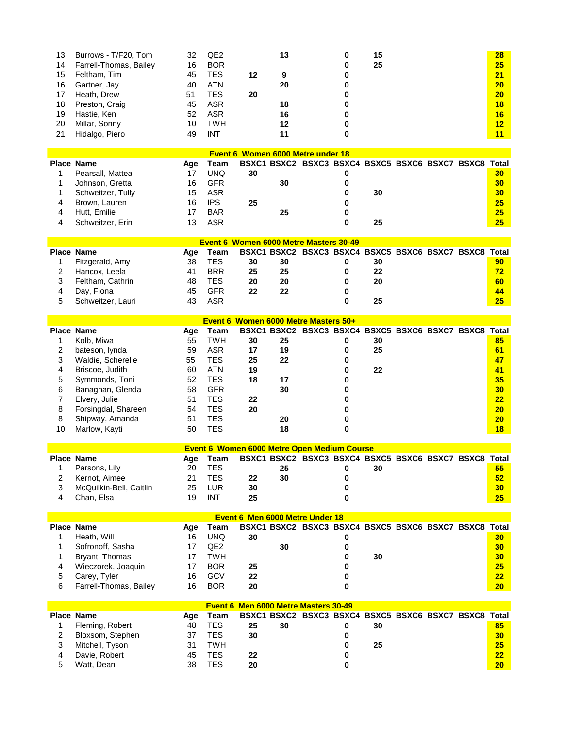| 13<br>14<br>15<br>16<br>17<br>18<br>19<br>20<br>21 | Burrows - T/F20, Tom<br>Farrell-Thomas, Bailey<br>Feltham, Tim<br>Gartner, Jay<br>Heath, Drew<br>Preston, Craig<br>Hastie, Ken<br>Millar, Sonny<br>Hidalgo, Piero<br><b>Place Name</b> | 32<br>16<br>45<br>40<br>51<br>45<br>52<br>10<br>49<br>Age | QE <sub>2</sub><br><b>BOR</b><br><b>TES</b><br><b>ATN</b><br><b>TES</b><br><b>ASR</b><br><b>ASR</b><br><b>TWH</b><br>INT<br><b>Team</b> | 12<br>20 | 13<br>9<br>20<br>18<br>16<br>12<br>11 | Event 6 Women 6000 Metre under 18<br>BSXC1 BSXC2 BSXC3 BSXC4 BSXC5 BSXC6 BSXC7 BSXC8 Total           | 0<br>0<br>0<br>0<br>0<br>0<br>0<br>$\bf{0}$<br>$\bf{0}$ | 15<br>25 |  | 28<br>25<br>21<br>20<br>20<br>18<br>16<br>12<br>11 |
|----------------------------------------------------|----------------------------------------------------------------------------------------------------------------------------------------------------------------------------------------|-----------------------------------------------------------|-----------------------------------------------------------------------------------------------------------------------------------------|----------|---------------------------------------|------------------------------------------------------------------------------------------------------|---------------------------------------------------------|----------|--|----------------------------------------------------|
| 1<br>1                                             | Pearsall, Mattea<br>Johnson, Gretta                                                                                                                                                    | 17<br>16                                                  | <b>UNQ</b><br><b>GFR</b>                                                                                                                | 30       | 30                                    |                                                                                                      | 0<br>0                                                  |          |  | 30 <sub>2</sub><br>30                              |
| 1                                                  | Schweitzer, Tully                                                                                                                                                                      | 15                                                        | <b>ASR</b>                                                                                                                              |          |                                       |                                                                                                      | $\bf{0}$                                                | 30       |  | 30                                                 |
| 4                                                  | Brown, Lauren                                                                                                                                                                          | 16                                                        | <b>IPS</b>                                                                                                                              | 25       |                                       |                                                                                                      | 0                                                       |          |  | 25                                                 |
| 4                                                  | Hutt, Emilie                                                                                                                                                                           | 17                                                        | <b>BAR</b>                                                                                                                              |          | 25                                    |                                                                                                      | 0                                                       |          |  | 25                                                 |
| 4                                                  | Schweitzer, Erin                                                                                                                                                                       | 13                                                        | <b>ASR</b>                                                                                                                              |          |                                       |                                                                                                      | 0                                                       | 25       |  | 25                                                 |
|                                                    |                                                                                                                                                                                        |                                                           |                                                                                                                                         |          |                                       |                                                                                                      |                                                         |          |  |                                                    |
|                                                    | <b>Place Name</b>                                                                                                                                                                      | Age                                                       | Team                                                                                                                                    |          |                                       | Event 6 Women 6000 Metre Masters 30-49<br>BSXC1 BSXC2 BSXC3 BSXC4 BSXC5 BSXC6 BSXC7 BSXC8 Total      |                                                         |          |  |                                                    |
| 1                                                  | Fitzgerald, Amy                                                                                                                                                                        | 38                                                        | <b>TES</b>                                                                                                                              | 30       | 30                                    |                                                                                                      | 0                                                       | 30       |  | 90 <sub>o</sub>                                    |
| 2                                                  | Hancox, Leela                                                                                                                                                                          | 41                                                        | <b>BRR</b>                                                                                                                              | 25       | 25                                    |                                                                                                      | 0                                                       | 22       |  | 72                                                 |
| 3                                                  | Feltham, Cathrin                                                                                                                                                                       | 48                                                        | <b>TES</b>                                                                                                                              | 20       | 20                                    |                                                                                                      | $\bf{0}$                                                | 20       |  | 60                                                 |
| 4                                                  | Day, Fiona                                                                                                                                                                             | 45                                                        | <b>GFR</b>                                                                                                                              | 22       | 22                                    |                                                                                                      | 0                                                       |          |  | 44                                                 |
| 5                                                  | Schweitzer, Lauri                                                                                                                                                                      | 43                                                        | ASR                                                                                                                                     |          |                                       |                                                                                                      | 0                                                       | 25       |  | $25\overline{ }$                                   |
|                                                    |                                                                                                                                                                                        |                                                           |                                                                                                                                         |          |                                       | Event 6 Women 6000 Metre Masters 50+                                                                 |                                                         |          |  |                                                    |
|                                                    | <b>Place Name</b>                                                                                                                                                                      | Age                                                       | <b>Team</b>                                                                                                                             |          |                                       | BSXC1 BSXC2 BSXC3 BSXC4 BSXC5 BSXC6 BSXC7 BSXC8 Total                                                |                                                         |          |  |                                                    |
| 1                                                  | Kolb, Miwa                                                                                                                                                                             | 55                                                        | <b>TWH</b>                                                                                                                              | 30       | 25                                    |                                                                                                      | 0                                                       | 30       |  | 85                                                 |
| 2                                                  | bateson, lynda                                                                                                                                                                         | 59                                                        | <b>ASR</b>                                                                                                                              | 17       | 19                                    |                                                                                                      | 0                                                       | 25       |  | 61                                                 |
| 3                                                  | Waldie, Scherelle                                                                                                                                                                      | 55                                                        | <b>TES</b>                                                                                                                              | 25       | 22                                    |                                                                                                      | 0                                                       |          |  | 47                                                 |
| 4                                                  | Briscoe, Judith                                                                                                                                                                        | 60                                                        | <b>ATN</b>                                                                                                                              | 19       |                                       |                                                                                                      | 0                                                       | 22       |  | 41                                                 |
| 5<br>6                                             | Symmonds, Toni                                                                                                                                                                         | 52<br>58                                                  | <b>TES</b><br>GFR                                                                                                                       | 18       | 17<br>30                              |                                                                                                      | 0<br>0                                                  |          |  | 35<br>30 <sub>2</sub>                              |
| 7                                                  | Banaghan, Glenda<br>Elvery, Julie                                                                                                                                                      | 51                                                        | <b>TES</b>                                                                                                                              | 22       |                                       |                                                                                                      | 0                                                       |          |  | 22                                                 |
| 8                                                  | Forsingdal, Shareen                                                                                                                                                                    | 54                                                        | <b>TES</b>                                                                                                                              | 20       |                                       |                                                                                                      | 0                                                       |          |  | 20                                                 |
| 8                                                  | Shipway, Amanda                                                                                                                                                                        | 51                                                        | <b>TES</b>                                                                                                                              |          | 20                                    |                                                                                                      | 0                                                       |          |  | 20                                                 |
| 10                                                 | Marlow, Kayti                                                                                                                                                                          | 50                                                        | <b>TES</b>                                                                                                                              |          | 18                                    |                                                                                                      | 0                                                       |          |  | 18                                                 |
|                                                    |                                                                                                                                                                                        |                                                           |                                                                                                                                         |          |                                       |                                                                                                      |                                                         |          |  |                                                    |
|                                                    | <b>Place Name</b>                                                                                                                                                                      | Age                                                       | Team                                                                                                                                    |          |                                       | Event 6 Women 6000 Metre Open Medium Course<br>BSXC1 BSXC2 BSXC3 BSXC4 BSXC5 BSXC6 BSXC7 BSXC8 Total |                                                         |          |  |                                                    |
| 1                                                  | Parsons, Lily                                                                                                                                                                          | 20                                                        | <b>TES</b>                                                                                                                              |          | 25                                    |                                                                                                      | 0                                                       | 30       |  | 55                                                 |
| 2                                                  | Kernot, Aimee                                                                                                                                                                          | 21                                                        | <b>TES</b>                                                                                                                              | 22       | 30                                    |                                                                                                      | 0                                                       |          |  | 52                                                 |
| 3                                                  | McQuilkin-Bell, Caitlin                                                                                                                                                                | 25                                                        | <b>LUR</b>                                                                                                                              | 30       |                                       |                                                                                                      | 0                                                       |          |  | 30                                                 |
| 4                                                  | Chan, Elsa                                                                                                                                                                             | 19                                                        | INT                                                                                                                                     | 25       |                                       |                                                                                                      | 0                                                       |          |  | 25                                                 |
|                                                    |                                                                                                                                                                                        |                                                           |                                                                                                                                         |          |                                       | Event 6 Men 6000 Metre Under 18                                                                      |                                                         |          |  |                                                    |
|                                                    | <b>Place Name</b>                                                                                                                                                                      | Age                                                       | Team                                                                                                                                    |          |                                       | BSXC1 BSXC2 BSXC3 BSXC4 BSXC5 BSXC6 BSXC7 BSXC8 Total                                                |                                                         |          |  |                                                    |
| 1                                                  | Heath, Will                                                                                                                                                                            | 16                                                        | <b>UNQ</b>                                                                                                                              | 30       |                                       |                                                                                                      | 0                                                       |          |  | 30 <sub>2</sub>                                    |
| 1                                                  | Sofronoff, Sasha                                                                                                                                                                       | 17                                                        | QE <sub>2</sub>                                                                                                                         |          | 30                                    |                                                                                                      | 0                                                       |          |  | 30                                                 |
| 1                                                  | Bryant, Thomas                                                                                                                                                                         | 17                                                        | <b>TWH</b>                                                                                                                              |          |                                       |                                                                                                      | 0                                                       | 30       |  | 30                                                 |
| 4                                                  | Wieczorek, Joaquin                                                                                                                                                                     | 17                                                        | <b>BOR</b>                                                                                                                              | 25       |                                       |                                                                                                      | 0                                                       |          |  | 25                                                 |
| 5                                                  | Carey, Tyler                                                                                                                                                                           | 16<br>16                                                  | GCV<br><b>BOR</b>                                                                                                                       | 22       |                                       |                                                                                                      | 0<br>0                                                  |          |  | 22                                                 |
| 6                                                  | Farrell-Thomas, Bailey                                                                                                                                                                 |                                                           |                                                                                                                                         | 20       |                                       |                                                                                                      |                                                         |          |  | 20 <sub>2</sub>                                    |
|                                                    |                                                                                                                                                                                        |                                                           |                                                                                                                                         |          |                                       | Event 6 Men 6000 Metre Masters 30-49                                                                 |                                                         |          |  |                                                    |
|                                                    | <b>Place Name</b>                                                                                                                                                                      | Age                                                       | Team                                                                                                                                    |          |                                       | BSXC1 BSXC2 BSXC3 BSXC4 BSXC5 BSXC6 BSXC7 BSXC8 Total                                                |                                                         |          |  |                                                    |
| 1                                                  | Fleming, Robert                                                                                                                                                                        | 48                                                        | <b>TES</b>                                                                                                                              | 25       | 30                                    |                                                                                                      | 0                                                       | 30       |  | 85                                                 |
| 2                                                  | Bloxsom, Stephen                                                                                                                                                                       | 37                                                        | <b>TES</b>                                                                                                                              | 30       |                                       |                                                                                                      | 0                                                       |          |  | 30                                                 |
| 3<br>4                                             | Mitchell, Tyson<br>Davie, Robert                                                                                                                                                       | 31<br>45                                                  | <b>TWH</b><br><b>TES</b>                                                                                                                | 22       |                                       |                                                                                                      | 0<br>0                                                  | 25       |  | 25<br>22                                           |
| 5                                                  | Watt, Dean                                                                                                                                                                             | 38                                                        | <b>TES</b>                                                                                                                              | 20       |                                       |                                                                                                      | 0                                                       |          |  | 20 <sub>2</sub>                                    |
|                                                    |                                                                                                                                                                                        |                                                           |                                                                                                                                         |          |                                       |                                                                                                      |                                                         |          |  |                                                    |